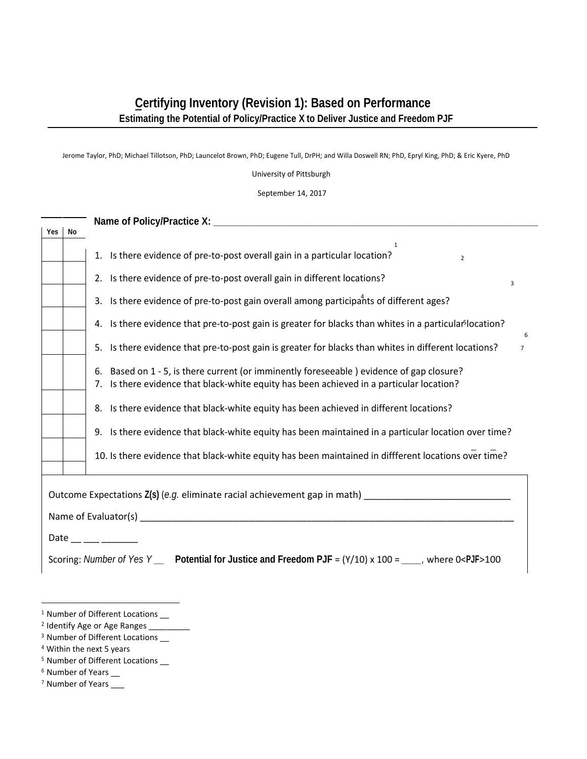## **Certifying Inventory (Revision 1): Based on Performance Estimating the Potential of Policy/Practice X to Deliver Justice and Freedom PJF**

Jerome Taylor, PhD; Michael Tillotson, PhD; Launcelot Brown, PhD; Eugene Tull, DrPH; and Willa Doswell RN; PhD, Epryl King, PhD; & Eric Kyere, PhD

University of Pittsburgh

September 14, 2017

| <b>Yes</b>          | No |                                                                                                                                                                                            |  |
|---------------------|----|--------------------------------------------------------------------------------------------------------------------------------------------------------------------------------------------|--|
|                     |    | 1<br>1. Is there evidence of pre-to-post overall gain in a particular location?<br>$\overline{2}$                                                                                          |  |
|                     |    | 2. Is there evidence of pre-to-post overall gain in different locations?<br>3                                                                                                              |  |
|                     |    | 3. Is there evidence of pre-to-post gain overall among participants of different ages?                                                                                                     |  |
|                     |    | Is there evidence that pre-to-post gain is greater for blacks than whites in a particular <sup>5</sup> location?<br>4.<br>6                                                                |  |
|                     |    | Is there evidence that pre-to-post gain is greater for blacks than whites in different locations?<br>5.<br>$\overline{7}$                                                                  |  |
|                     |    | Based on 1 - 5, is there current (or imminently foreseeable) evidence of gap closure?<br>6.<br>Is there evidence that black-white equity has been achieved in a particular location?<br>7. |  |
|                     |    | Is there evidence that black-white equity has been achieved in different locations?<br>8.                                                                                                  |  |
|                     |    | 9. Is there evidence that black-white equity has been maintained in a particular location over time?                                                                                       |  |
|                     |    | 10. Is there evidence that black-white equity has been maintained in diffferent locations over time?                                                                                       |  |
|                     |    |                                                                                                                                                                                            |  |
| Date __ __ __ _____ |    |                                                                                                                                                                                            |  |
|                     |    | Scoring: Number of Yes Y _ Potential for Justice and Freedom PJF = $(Y/10) \times 100 =$ ____, where 0 <pjf>100</pjf>                                                                      |  |

- <sup>1</sup> Number of Different Locations \_\_
- <sup>2</sup> Identify Age or Age Ranges  $\frac{1}{2}$
- <sup>3</sup> Number of Different Locations \_\_
- $\frac{4}{4}$  Within the next 5 years  $\frac{1}{4}$
- $5$  Number of Different Locations  $\overline{\phantom{a}}$
- $^6$  Number of Years  $\_\_$
- <sup>7</sup> Number of Years \_\_\_